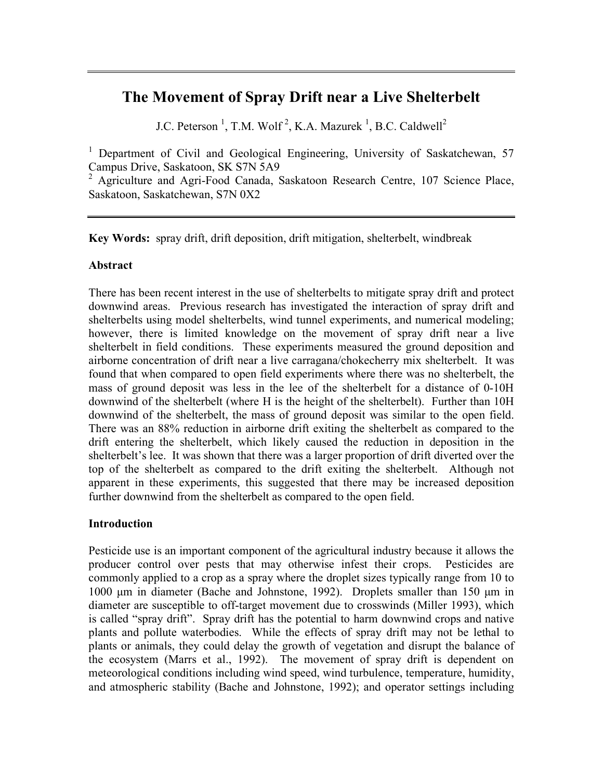# **The Movement of Spray Drift near a Live Shelterbelt**

J.C. Peterson<sup>1</sup>, T.M. Wolf<sup>2</sup>, K.A. Mazurek<sup>1</sup>, B.C. Caldwell<sup>2</sup>

<sup>1</sup> Department of Civil and Geological Engineering, University of Saskatchewan, 57 Campus Drive, Saskatoon, SK S7N 5A9

<sup>2</sup> Agriculture and Agri-Food Canada, Saskatoon Research Centre, 107 Science Place, Saskatoon, Saskatchewan, S7N 0X2

**Key Words:** spray drift, drift deposition, drift mitigation, shelterbelt, windbreak

## **Abstract**

There has been recent interest in the use of shelterbelts to mitigate spray drift and protect downwind areas. Previous research has investigated the interaction of spray drift and shelterbelts using model shelterbelts, wind tunnel experiments, and numerical modeling; however, there is limited knowledge on the movement of spray drift near a live shelterbelt in field conditions. These experiments measured the ground deposition and airborne concentration of drift near a live carragana/chokecherry mix shelterbelt. It was found that when compared to open field experiments where there was no shelterbelt, the mass of ground deposit was less in the lee of the shelterbelt for a distance of 0-10H downwind of the shelterbelt (where H is the height of the shelterbelt). Further than 10H downwind of the shelterbelt, the mass of ground deposit was similar to the open field. There was an 88% reduction in airborne drift exiting the shelterbelt as compared to the drift entering the shelterbelt, which likely caused the reduction in deposition in the shelterbelt's lee. It was shown that there was a larger proportion of drift diverted over the top of the shelterbelt as compared to the drift exiting the shelterbelt. Although not apparent in these experiments, this suggested that there may be increased deposition further downwind from the shelterbelt as compared to the open field.

## **Introduction**

Pesticide use is an important component of the agricultural industry because it allows the producer control over pests that may otherwise infest their crops. Pesticides are commonly applied to a crop as a spray where the droplet sizes typically range from 10 to 1000 µm in diameter (Bache and Johnstone, 1992). Droplets smaller than 150 µm in diameter are susceptible to off-target movement due to crosswinds (Miller 1993), which is called "spray drift". Spray drift has the potential to harm downwind crops and native plants and pollute waterbodies. While the effects of spray drift may not be lethal to plants or animals, they could delay the growth of vegetation and disrupt the balance of the ecosystem (Marrs et al., 1992). The movement of spray drift is dependent on meteorological conditions including wind speed, wind turbulence, temperature, humidity, and atmospheric stability (Bache and Johnstone, 1992); and operator settings including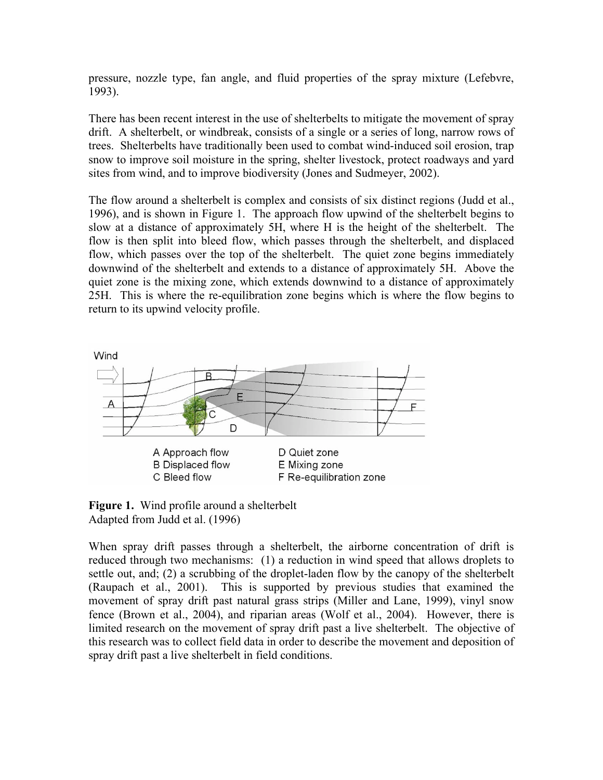pressure, nozzle type, fan angle, and fluid properties of the spray mixture (Lefebvre, 1993).

There has been recent interest in the use of shelterbelts to mitigate the movement of spray drift. A shelterbelt, or windbreak, consists of a single or a series of long, narrow rows of trees. Shelterbelts have traditionally been used to combat wind-induced soil erosion, trap snow to improve soil moisture in the spring, shelter livestock, protect roadways and yard sites from wind, and to improve biodiversity (Jones and Sudmeyer, 2002).

The flow around a shelterbelt is complex and consists of six distinct regions (Judd et al., 1996), and is shown in Figure 1. The approach flow upwind of the shelterbelt begins to slow at a distance of approximately 5H, where H is the height of the shelterbelt. The flow is then split into bleed flow, which passes through the shelterbelt, and displaced flow, which passes over the top of the shelterbelt. The quiet zone begins immediately downwind of the shelterbelt and extends to a distance of approximately 5H. Above the quiet zone is the mixing zone, which extends downwind to a distance of approximately 25H. This is where the re-equilibration zone begins which is where the flow begins to return to its upwind velocity profile.



**Figure 1.** Wind profile around a shelterbelt Adapted from Judd et al. (1996)

When spray drift passes through a shelterbelt, the airborne concentration of drift is reduced through two mechanisms: (1) a reduction in wind speed that allows droplets to settle out, and; (2) a scrubbing of the droplet-laden flow by the canopy of the shelterbelt (Raupach et al., 2001). This is supported by previous studies that examined the movement of spray drift past natural grass strips (Miller and Lane, 1999), vinyl snow fence (Brown et al., 2004), and riparian areas (Wolf et al., 2004). However, there is limited research on the movement of spray drift past a live shelterbelt. The objective of this research was to collect field data in order to describe the movement and deposition of spray drift past a live shelterbelt in field conditions.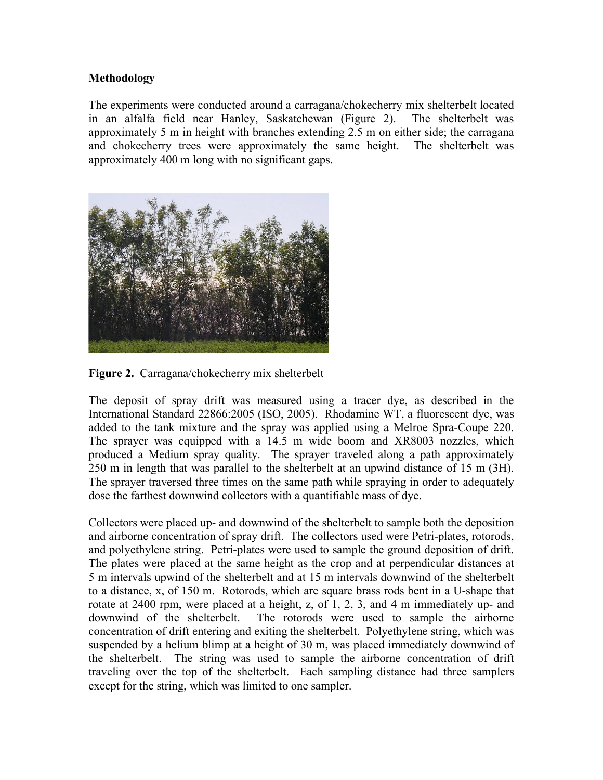## **Methodology**

The experiments were conducted around a carragana/chokecherry mix shelterbelt located in an alfalfa field near Hanley, Saskatchewan (Figure 2). The shelterbelt was approximately 5 m in height with branches extending 2.5 m on either side; the carragana and chokecherry trees were approximately the same height. The shelterbelt was approximately 400 m long with no significant gaps.



**Figure 2.** Carragana/chokecherry mix shelterbelt

The deposit of spray drift was measured using a tracer dye, as described in the International Standard 22866:2005 (ISO, 2005). Rhodamine WT, a fluorescent dye, was added to the tank mixture and the spray was applied using a Melroe Spra-Coupe 220. The sprayer was equipped with a 14.5 m wide boom and XR8003 nozzles, which produced a Medium spray quality. The sprayer traveled along a path approximately 250 m in length that was parallel to the shelterbelt at an upwind distance of 15 m (3H). The sprayer traversed three times on the same path while spraying in order to adequately dose the farthest downwind collectors with a quantifiable mass of dye.

Collectors were placed up- and downwind of the shelterbelt to sample both the deposition and airborne concentration of spray drift. The collectors used were Petri-plates, rotorods, and polyethylene string. Petri-plates were used to sample the ground deposition of drift. The plates were placed at the same height as the crop and at perpendicular distances at 5 m intervals upwind of the shelterbelt and at 15 m intervals downwind of the shelterbelt to a distance, x, of 150 m. Rotorods, which are square brass rods bent in a U-shape that rotate at 2400 rpm, were placed at a height, z, of 1, 2, 3, and 4 m immediately up- and downwind of the shelterbelt. The rotorods were used to sample the airborne concentration of drift entering and exiting the shelterbelt. Polyethylene string, which was suspended by a helium blimp at a height of 30 m, was placed immediately downwind of the shelterbelt. The string was used to sample the airborne concentration of drift traveling over the top of the shelterbelt. Each sampling distance had three samplers except for the string, which was limited to one sampler.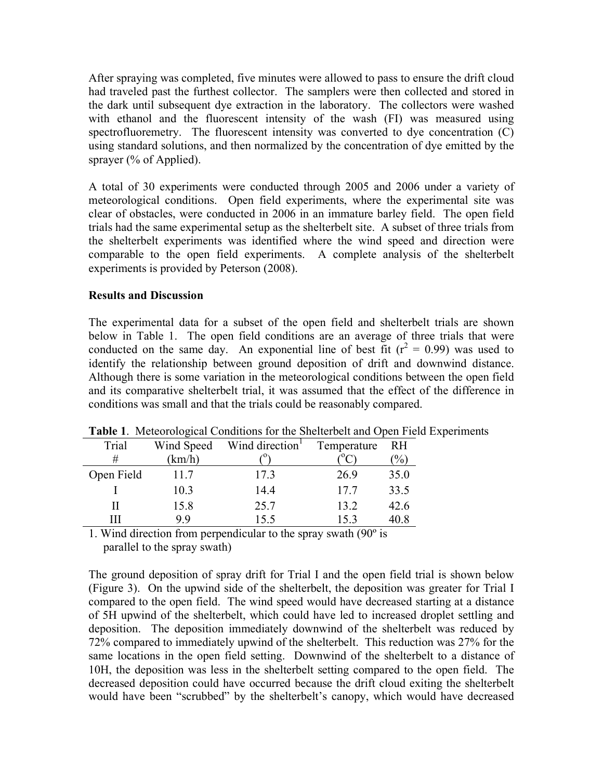After spraying was completed, five minutes were allowed to pass to ensure the drift cloud had traveled past the furthest collector. The samplers were then collected and stored in the dark until subsequent dye extraction in the laboratory. The collectors were washed with ethanol and the fluorescent intensity of the wash (FI) was measured using spectrofluoremetry. The fluorescent intensity was converted to dye concentration (C) using standard solutions, and then normalized by the concentration of dye emitted by the sprayer (% of Applied).

A total of 30 experiments were conducted through 2005 and 2006 under a variety of meteorological conditions. Open field experiments, where the experimental site was clear of obstacles, were conducted in 2006 in an immature barley field. The open field trials had the same experimental setup as the shelterbelt site. A subset of three trials from the shelterbelt experiments was identified where the wind speed and direction were comparable to the open field experiments. A complete analysis of the shelterbelt experiments is provided by Peterson (2008).

## **Results and Discussion**

The experimental data for a subset of the open field and shelterbelt trials are shown below in Table 1. The open field conditions are an average of three trials that were conducted on the same day. An exponential line of best fit  $(r^2 = 0.99)$  was used to identify the relationship between ground deposition of drift and downwind distance. Although there is some variation in the meteorological conditions between the open field and its comparative shelterbelt trial, it was assumed that the effect of the difference in conditions was small and that the trials could be reasonably compared.

| Trial      | Wind Speed | Wind direction <sup>1</sup> | Temperature | <b>RH</b>     |
|------------|------------|-----------------------------|-------------|---------------|
| #          | (km/h)     |                             |             | $\frac{1}{2}$ |
| Open Field | 11.7       | 17.3                        | 26.9        | 35.0          |
|            | 10.3       | 14.4                        | 17.7        | 33.5          |
| Н          | 15.8       | 25.7                        | 13.2        | 42.6          |
| Ш          | 99         | 15.5                        | 153         | 40.8          |

**Table 1**. Meteorological Conditions for the Shelterbelt and Open Field Experiments

1. Wind direction from perpendicular to the spray swath (90º is parallel to the spray swath)

The ground deposition of spray drift for Trial I and the open field trial is shown below (Figure 3). On the upwind side of the shelterbelt, the deposition was greater for Trial I compared to the open field. The wind speed would have decreased starting at a distance of 5H upwind of the shelterbelt, which could have led to increased droplet settling and deposition. The deposition immediately downwind of the shelterbelt was reduced by 72% compared to immediately upwind of the shelterbelt. This reduction was 27% for the same locations in the open field setting. Downwind of the shelterbelt to a distance of 10H, the deposition was less in the shelterbelt setting compared to the open field. The decreased deposition could have occurred because the drift cloud exiting the shelterbelt would have been "scrubbed" by the shelterbelt's canopy, which would have decreased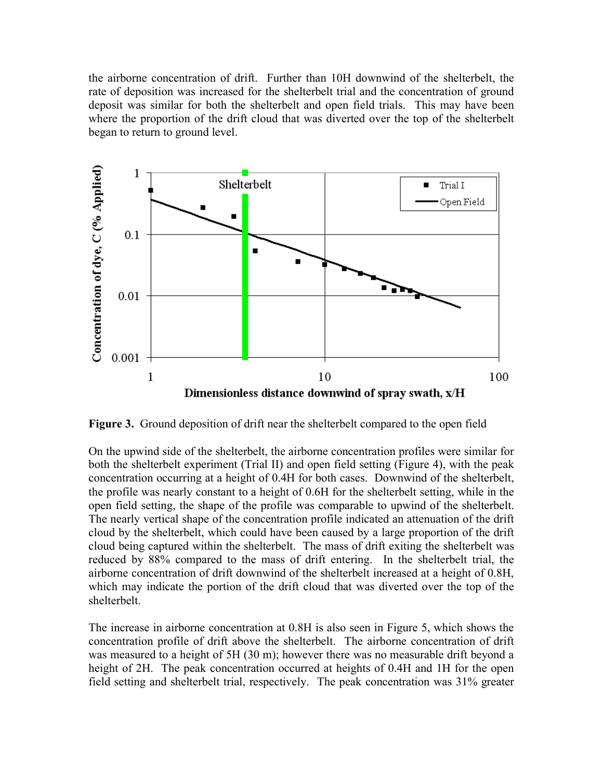the airborne concentration of drift. Further than 10H downwind of the shelterbelt, the rate of deposition was increased for the shelterbelt trial and the concentration of ground deposit was similar for both the shelterbelt and open field trials. This may have been where the proportion of the drift cloud that was diverted over the top of the shelterbelt began to return to ground level.



**Figure 3.** Ground deposition of drift near the shelterbelt compared to the open field

On the upwind side of the shelterbelt, the airborne concentration profiles were similar for both the shelterbelt experiment (Trial II) and open field setting (Figure 4), with the peak concentration occurring at a height of 0.4H for both cases. Downwind of the shelterbelt, the profile was nearly constant to a height of 0.6H for the shelterbelt setting, while in the open field setting, the shape of the profile was comparable to upwind of the shelterbelt. The nearly vertical shape of the concentration profile indicated an attenuation of the drift cloud by the shelterbelt, which could have been caused by a large proportion of the drift cloud being captured within the shelterbelt. The mass of drift exiting the shelterbelt was reduced by 88% compared to the mass of drift entering. In the shelterbelt trial, the airborne concentration of drift downwind of the shelterbelt increased at a height of 0.8H, which may indicate the portion of the drift cloud that was diverted over the top of the shelterbelt.

The increase in airborne concentration at 0.8H is also seen in Figure 5, which shows the concentration profile of drift above the shelterbelt. The airborne concentration of drift was measured to a height of 5H (30 m); however there was no measurable drift beyond a height of 2H. The peak concentration occurred at heights of 0.4H and 1H for the open field setting and shelterbelt trial, respectively. The peak concentration was 31% greater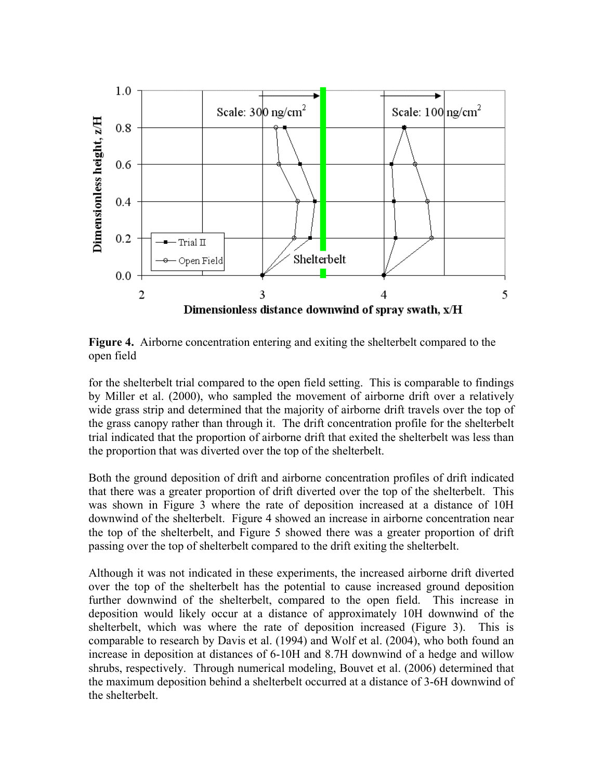

**Figure 4.** Airborne concentration entering and exiting the shelterbelt compared to the open field

for the shelterbelt trial compared to the open field setting. This is comparable to findings by Miller et al. (2000), who sampled the movement of airborne drift over a relatively wide grass strip and determined that the majority of airborne drift travels over the top of the grass canopy rather than through it. The drift concentration profile for the shelterbelt trial indicated that the proportion of airborne drift that exited the shelterbelt was less than the proportion that was diverted over the top of the shelterbelt.

Both the ground deposition of drift and airborne concentration profiles of drift indicated that there was a greater proportion of drift diverted over the top of the shelterbelt. This was shown in Figure 3 where the rate of deposition increased at a distance of 10H downwind of the shelterbelt. Figure 4 showed an increase in airborne concentration near the top of the shelterbelt, and Figure 5 showed there was a greater proportion of drift passing over the top of shelterbelt compared to the drift exiting the shelterbelt.

Although it was not indicated in these experiments, the increased airborne drift diverted over the top of the shelterbelt has the potential to cause increased ground deposition further downwind of the shelterbelt, compared to the open field. This increase in deposition would likely occur at a distance of approximately 10H downwind of the shelterbelt, which was where the rate of deposition increased (Figure 3). This is comparable to research by Davis et al. (1994) and Wolf et al. (2004), who both found an increase in deposition at distances of 6-10H and 8.7H downwind of a hedge and willow shrubs, respectively. Through numerical modeling, Bouvet et al. (2006) determined that the maximum deposition behind a shelterbelt occurred at a distance of 3-6H downwind of the shelterbelt.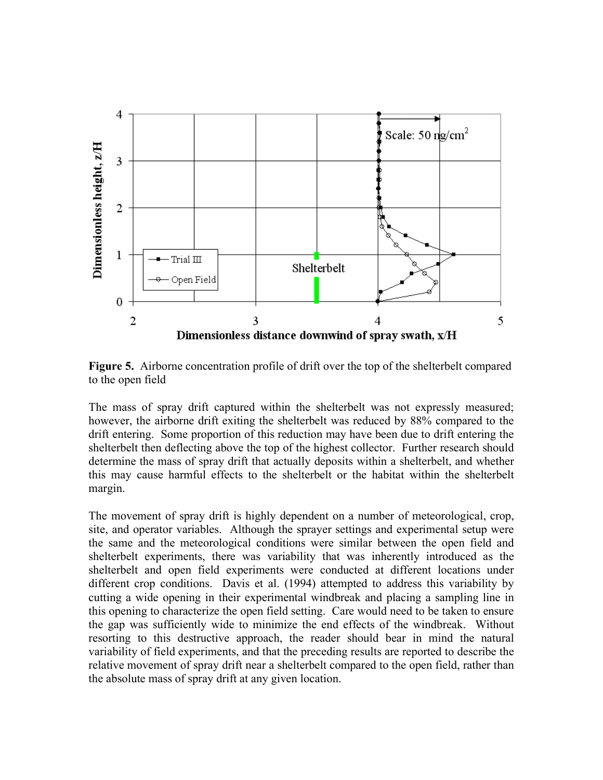

**Figure 5.** Airborne concentration profile of drift over the top of the shelterbelt compared to the open field

The mass of spray drift captured within the shelterbelt was not expressly measured; however, the airborne drift exiting the shelterbelt was reduced by 88% compared to the drift entering. Some proportion of this reduction may have been due to drift entering the shelterbelt then deflecting above the top of the highest collector. Further research should determine the mass of spray drift that actually deposits within a shelterbelt, and whether this may cause harmful effects to the shelterbelt or the habitat within the shelterbelt margin.

The movement of spray drift is highly dependent on a number of meteorological, crop, site, and operator variables. Although the sprayer settings and experimental setup were the same and the meteorological conditions were similar between the open field and shelterbelt experiments, there was variability that was inherently introduced as the shelterbelt and open field experiments were conducted at different locations under different crop conditions. Davis et al. (1994) attempted to address this variability by cutting a wide opening in their experimental windbreak and placing a sampling line in this opening to characterize the open field setting. Care would need to be taken to ensure the gap was sufficiently wide to minimize the end effects of the windbreak. Without resorting to this destructive approach, the reader should bear in mind the natural variability of field experiments, and that the preceding results are reported to describe the relative movement of spray drift near a shelterbelt compared to the open field, rather than the absolute mass of spray drift at any given location.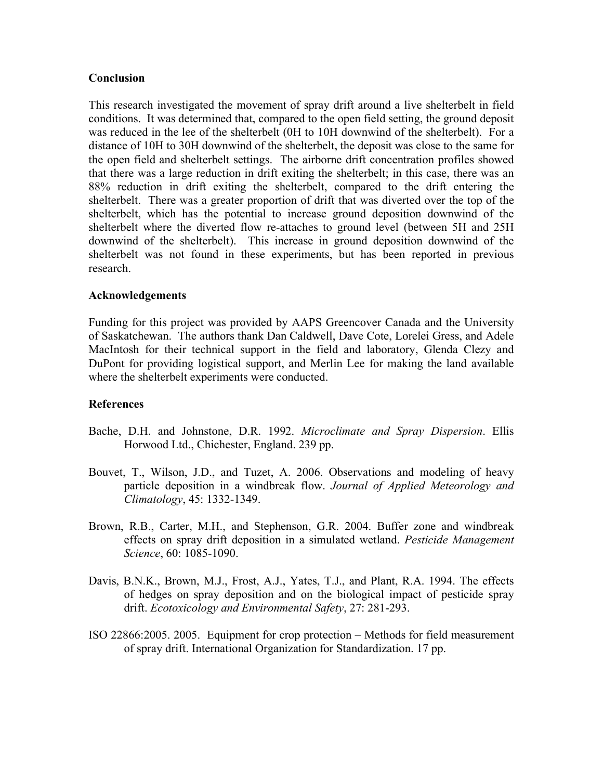## **Conclusion**

This research investigated the movement of spray drift around a live shelterbelt in field conditions. It was determined that, compared to the open field setting, the ground deposit was reduced in the lee of the shelterbelt (0H to 10H downwind of the shelterbelt). For a distance of 10H to 30H downwind of the shelterbelt, the deposit was close to the same for the open field and shelterbelt settings. The airborne drift concentration profiles showed that there was a large reduction in drift exiting the shelterbelt; in this case, there was an 88% reduction in drift exiting the shelterbelt, compared to the drift entering the shelterbelt. There was a greater proportion of drift that was diverted over the top of the shelterbelt, which has the potential to increase ground deposition downwind of the shelterbelt where the diverted flow re-attaches to ground level (between 5H and 25H downwind of the shelterbelt). This increase in ground deposition downwind of the shelterbelt was not found in these experiments, but has been reported in previous research.

## **Acknowledgements**

Funding for this project was provided by AAPS Greencover Canada and the University of Saskatchewan. The authors thank Dan Caldwell, Dave Cote, Lorelei Gress, and Adele MacIntosh for their technical support in the field and laboratory, Glenda Clezy and DuPont for providing logistical support, and Merlin Lee for making the land available where the shelterbelt experiments were conducted.

## **References**

- Bache, D.H. and Johnstone, D.R. 1992. *Microclimate and Spray Dispersion*. Ellis Horwood Ltd., Chichester, England. 239 pp.
- Bouvet, T., Wilson, J.D., and Tuzet, A. 2006. Observations and modeling of heavy particle deposition in a windbreak flow. *Journal of Applied Meteorology and Climatology*, 45: 1332-1349.
- Brown, R.B., Carter, M.H., and Stephenson, G.R. 2004. Buffer zone and windbreak effects on spray drift deposition in a simulated wetland. *Pesticide Management Science*, 60: 1085-1090.
- Davis, B.N.K., Brown, M.J., Frost, A.J., Yates, T.J., and Plant, R.A. 1994. The effects of hedges on spray deposition and on the biological impact of pesticide spray drift. *Ecotoxicology and Environmental Safety*, 27: 281-293.
- ISO 22866:2005. 2005. Equipment for crop protection Methods for field measurement of spray drift. International Organization for Standardization. 17 pp.